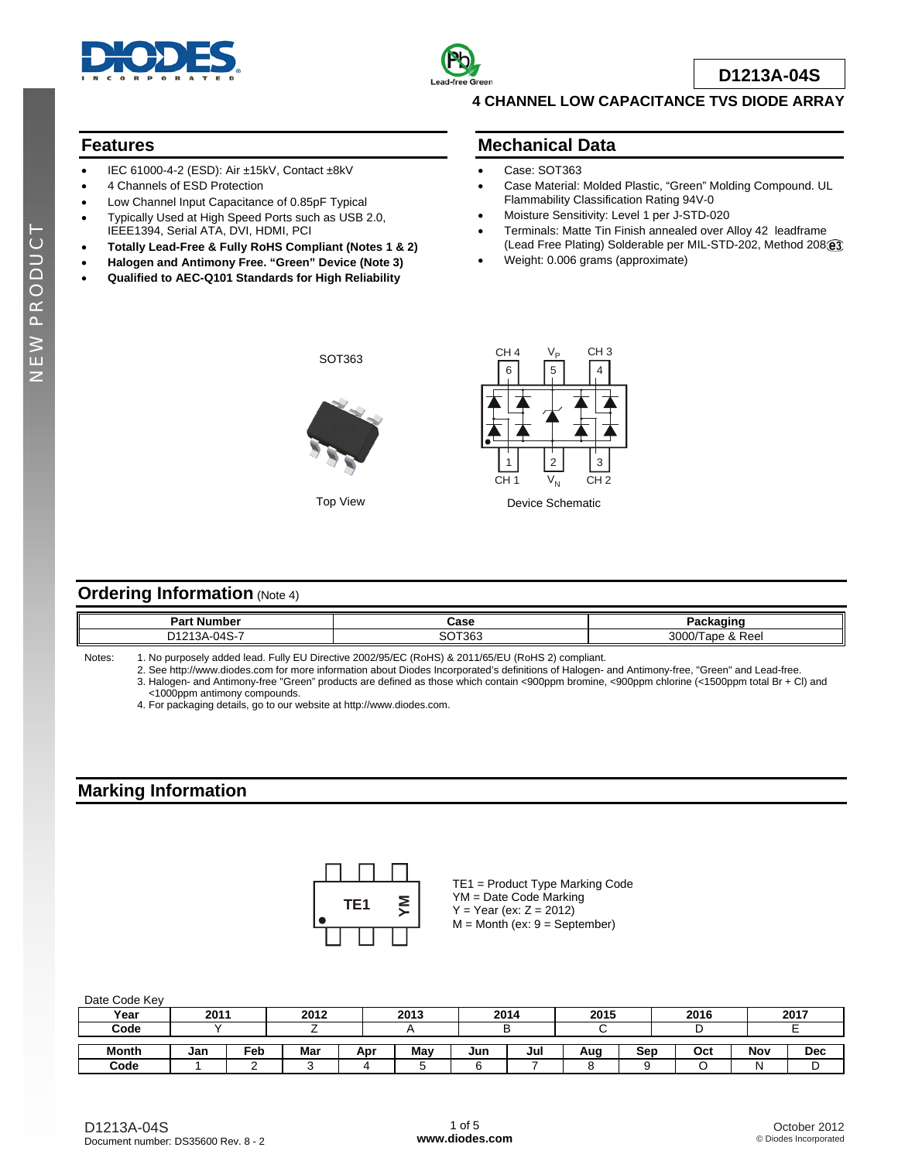



**D1213A-04S**

#### **4 CHANNEL LOW CAPACITANCE TVS DIODE ARRAY**

#### **Features**

- IEC 61000-4-2 (ESD): Air ±15kV, Contact ±8kV
- 4 Channels of ESD Protection
- Low Channel Input Capacitance of 0.85pF Typical
- Typically Used at High Speed Ports such as USB 2.0, IEEE1394, Serial ATA, DVI, HDMI, PCI
- **Totally Lead-Free & Fully RoHS Compliant (Notes 1 & 2)**
- **Halogen and Antimony Free. "Green" Device (Note 3)**
- **Qualified to AEC-Q101 Standards for High Reliability**

#### **Mechanical Data**

- Case: SOT363
- Case Material: Molded Plastic, "Green" Molding Compound. UL Flammability Classification Rating 94V-0
- Moisture Sensitivity: Level 1 per J-STD-020
- Terminals: Matte Tin Finish annealed over Alloy 42 leadframe (Lead Free Plating) Solderable per MIL-STD-202, Method 208@3
- Weight: 0.006 grams (approximate)

NEW PRODUCT

z



Top View



## **Ordering Information (Note 4)**

| D٠<br>t Number<br>- 211                   | Case |                |
|-------------------------------------------|------|----------------|
| $\sim$<br>`<br>$\ddot{\phantom{1}}$<br>∼. | ≎36، | 3000<br>. Reel |

Notes: 1. No purposely added lead. Fully EU Directive 2002/95/EC (RoHS) & 2011/65/EU (RoHS 2) compliant.

 2. See [http://www.diodes.com fo](http://www.diodes.com)r more information about Diodes Incorporated's definitions of Halogen- and Antimony-free, "Green" and Lead-free. 3. Halogen- and Antimony-free "Green" products are defined as those which contain <900ppm bromine, <900ppm chlorine (<1500ppm total Br + Cl) and <1000ppm antimony compounds.

4. For packaging details, go to our website at [http://www.diodes.com.](http://www.diodes.com)

# **Marking Information**



TE1 = Product Type Marking Code YM = Date Code Marking  $Y = Year (ex: Z = 2012)$  $M =$  Month (ex:  $9 =$  September)

Date Code Key

| Year  | 2011 |     | 2012 |     | 2013 | 2014 |     | 2015 |     | 2016 |     | 2017       |
|-------|------|-----|------|-----|------|------|-----|------|-----|------|-----|------------|
| Code  |      |     |      |     |      |      |     |      |     |      |     |            |
|       |      |     |      |     |      |      |     |      |     |      |     |            |
| Month | Jan  | Feb | Mar  | Apr | May  | Jun  | Jul | Aug  | Sep | Oct  | Nov | <b>Dec</b> |
| Code  |      |     |      |     |      |      |     |      |     |      |     |            |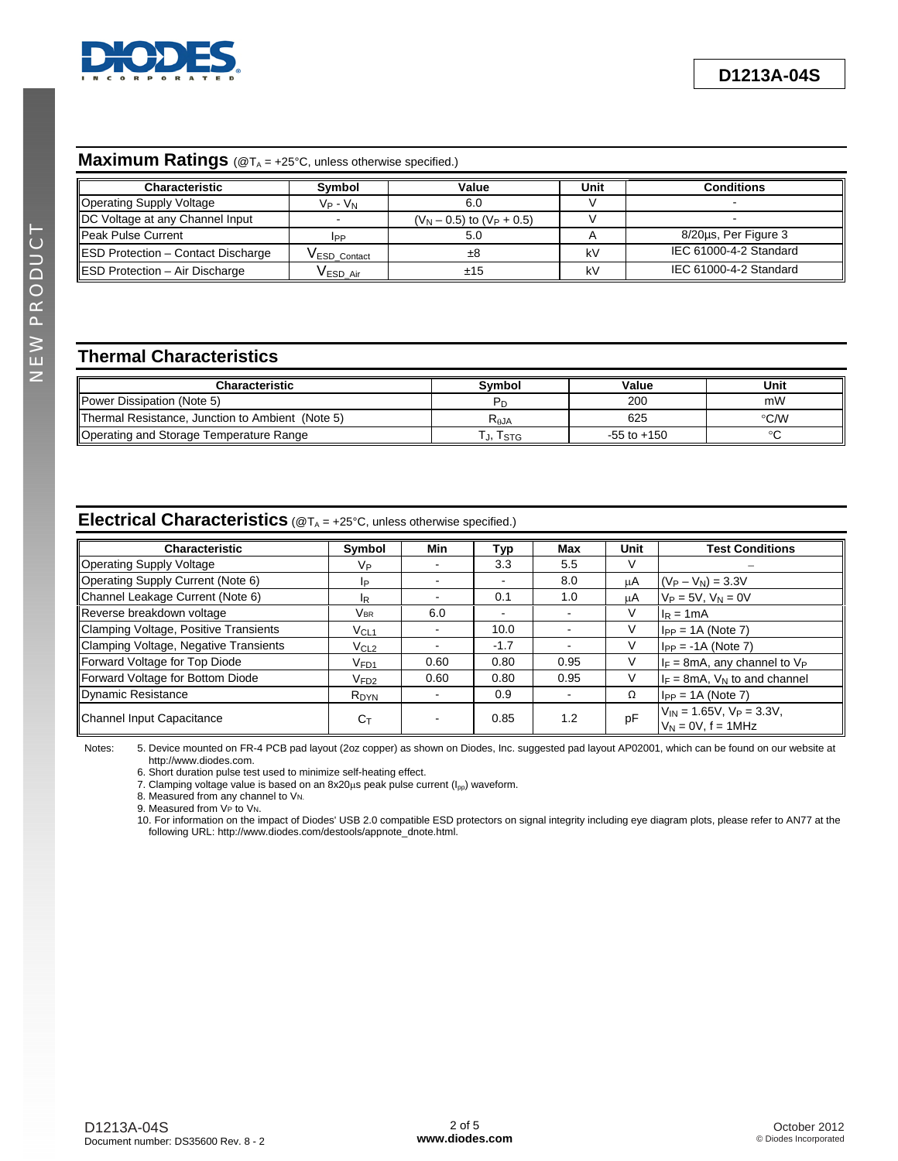

# **Maximum Ratings** (@T<sub>A</sub> = +25°C, unless otherwise specified.)

| <b>Characteristic</b>                     | Symbol          | Value                          | Unit | <b>Conditions</b>      |
|-------------------------------------------|-----------------|--------------------------------|------|------------------------|
| Operating Supply Voltage                  | $V_P$ - $V_N$   | 6.0                            |      |                        |
| DC Voltage at any Channel Input           |                 | $(V_N - 0.5)$ to $(V_P + 0.5)$ |      |                        |
| Peak Pulse Current                        | <b>IPP</b>      | 5.0                            |      | 8/20us, Per Figure 3   |
| <b>ESD Protection - Contact Discharge</b> | VESD Contact    | ±8                             | kV   | IEC 61000-4-2 Standard |
| ESD Protection - Air Discharge            | <b>VESD Air</b> | ±15                            | kV   | IEC 61000-4-2 Standard |

# **Thermal Characteristics**

| <b>Characteristic</b>                            | Svmbol    | Value           | Unit |
|--------------------------------------------------|-----------|-----------------|------|
| <b>Power Dissipation (Note 5)</b>                |           | 200             | mW   |
| Thermal Resistance, Junction to Ambient (Note 5) | $R_{AJA}$ | 625             | °C/W |
| Operating and Storage Temperature Range          | J, ISTG   | $-55$ to $+150$ |      |

### **Electrical Characteristics** (@T<sub>A</sub> = +25°C, unless otherwise specified.)

| Characteristic                        | Symbol           | Min  | Typ    | Max  | Unit | <b>Test Conditions</b>                                     |
|---------------------------------------|------------------|------|--------|------|------|------------------------------------------------------------|
| Operating Supply Voltage              | Vр               |      | 3.3    | 5.5  | V    |                                                            |
| Operating Supply Current (Note 6)     | IP               |      |        | 8.0  | μA   | $(V_P - V_N) = 3.3V$                                       |
| Channel Leakage Current (Note 6)      | IR.              |      | 0.1    | 1.0  | μA   | $V_P = 5V$ , $V_N = 0V$                                    |
| Reverse breakdown voltage             | <b>VBR</b>       | 6.0  | ۰      |      | V    | $IR = 1mA$                                                 |
| Clamping Voltage, Positive Transients | VCL1             |      | 10.0   |      | V    | $I_{PP} = 1A$ (Note 7)                                     |
| Clamping Voltage, Negative Transients | V <sub>CL2</sub> |      | $-1.7$ |      | V    | $I_{PP} = -1A$ (Note 7)                                    |
| Forward Voltage for Top Diode         | V <sub>FD1</sub> | 0.60 | 0.80   | 0.95 |      | $I_F = 8mA$ , any channel to $V_P$                         |
| Forward Voltage for Bottom Diode      | V <sub>FD2</sub> | 0.60 | 0.80   | 0.95 | V    | $I_F = 8mA$ , $V_N$ to and channel                         |
| Dynamic Resistance                    | R <sub>DYN</sub> |      | 0.9    |      | Ω    | $I_{PP} = 1A$ (Note 7)                                     |
| Channel Input Capacitance             | $C_T$            |      | 0.85   | 1.2  | pF   | $V_{IN}$ = 1.65V, $V_P$ = 3.3V,<br>$V_N = 0V$ , $f = 1MHz$ |

Notes: 5. Device mounted on FR-4 PCB pad layout (2oz copper) as shown on Diodes, Inc. suggested pad layout AP02001, which can be found on our website at [http://www.diodes.com.](http://www.diodes.com) 

6. Short duration pulse test used to minimize self-heating effect.

7. Clamping voltage value is based on an 8x20 $\mu$ s peak pulse current ( $I_{\text{pp}}$ ) waveform.

8. Measured from any channel to V<sub>N.</sub>

9. Measured from VP to VN.

10. For information on the impact of Diodes' USB 2.0 compatible ESD protectors on signal integrity including eye diagram plots, please refer to AN77 at the following URL: [http://www.diodes.com/destools/appnote\\_dnote.html.](http://www.diodes.com/destools/appnote_dnote.html)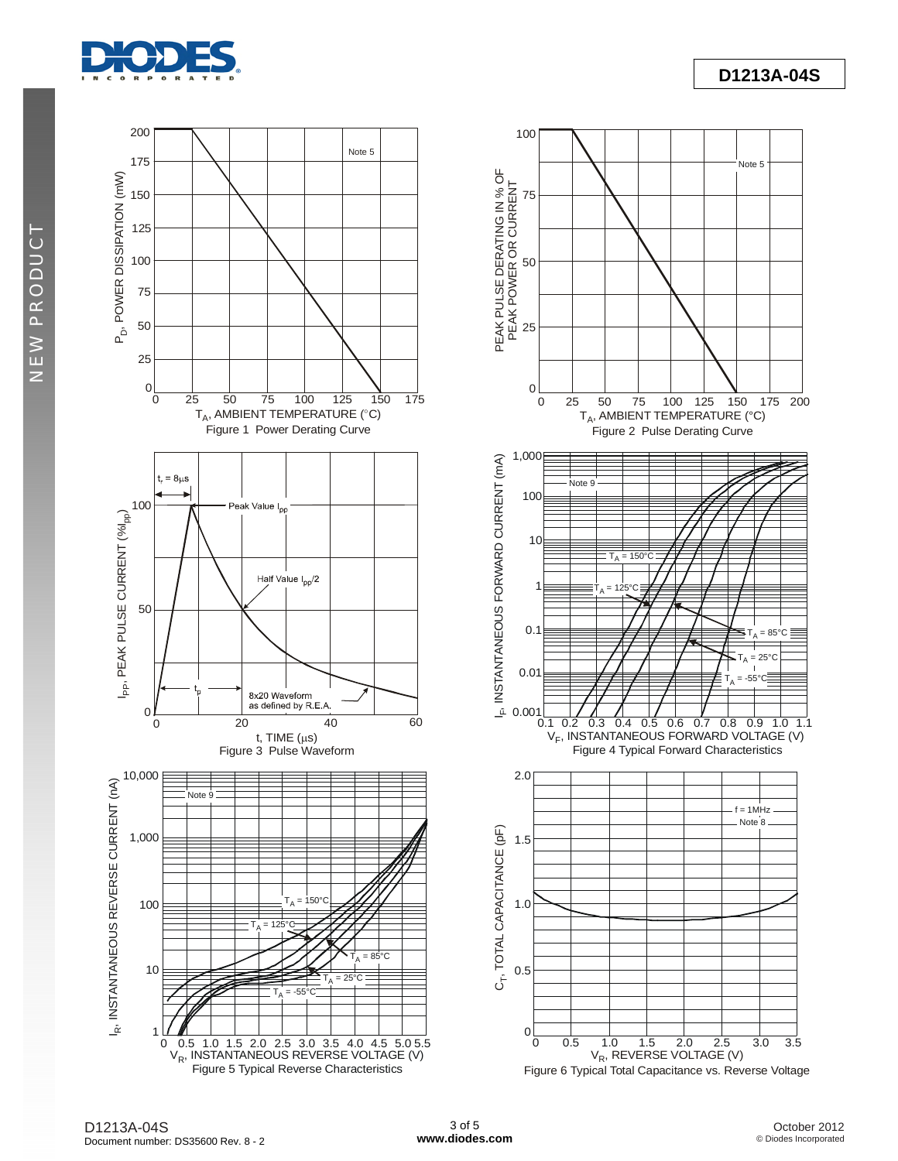

NEW PRODUCT NEW PRODUCT



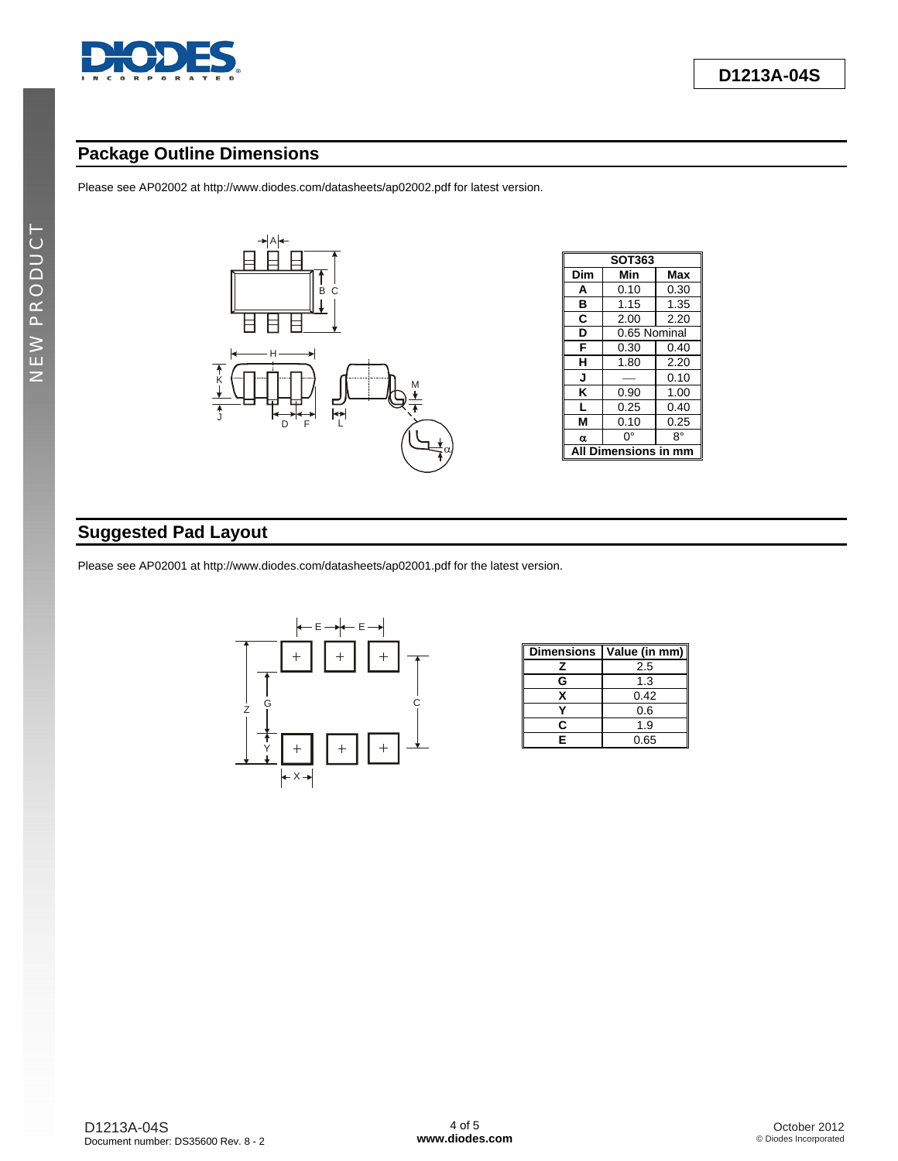

## **Package Outline Dimensions**

Please see AP02002 at [http://www.diodes.com/datasheets/ap02002.pdf fo](http://www.diodes.com/datasheets/ap02002.pdf)r latest version.



| <b>SOT363</b>    |              |      |  |  |  |
|------------------|--------------|------|--|--|--|
| Dim              | Min          | Max  |  |  |  |
| A                | 0.10         | 0.30 |  |  |  |
| в                | 1.15         | 1.35 |  |  |  |
| C                | 2.00         | 2.20 |  |  |  |
| D                | 0.65 Nominal |      |  |  |  |
| F                | 0.30         | 0.40 |  |  |  |
| н                | 1.80         | 2.20 |  |  |  |
| J                |              | 0.10 |  |  |  |
| κ                | 0.90         | 1.00 |  |  |  |
| L                | 0.25         | 0.40 |  |  |  |
| м                | 0.10         | 0.25 |  |  |  |
| α                | n°           | R۰   |  |  |  |
| Dimensions in mm |              |      |  |  |  |

# **Suggested Pad Layout**

Please see AP02001 at [http://www.diodes.com/datasheets/ap02001.pdf fo](http://www.diodes.com/datasheets/ap02001.pdf)r the latest version.



| <b>Dimensions</b> | Value (in mm) |
|-------------------|---------------|
| 7                 | 2.5           |
| G                 | 1.3           |
| x                 | 0.42          |
|                   | 0.6           |
| r                 | 1.9           |
| Е                 | 0.65          |